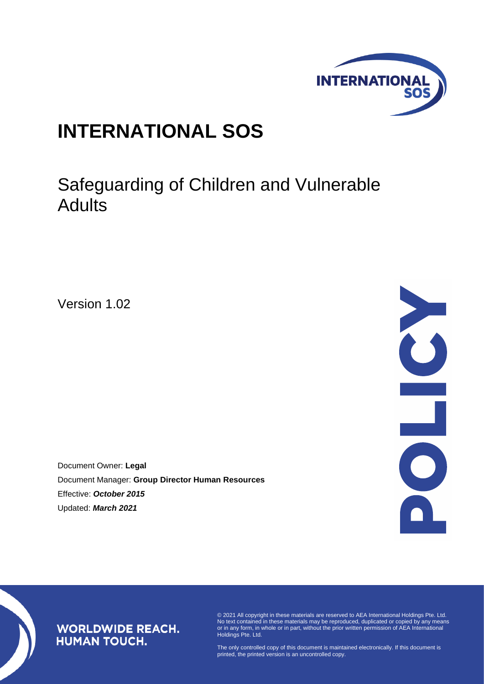

# **INTERNATIONAL SOS**

# Safeguarding of Children and Vulnerable Adults

Version 1.02

Document Owner: **Legal** Document Manager: **Group Director Human Resources** Effective: *October 2015* Updated: *March 2021*



# **WORLDWIDE REACH. HUMAN TOUCH.**

© 2021 All copyright in these materials are reserved to AEA International Holdings Pte. Ltd. No text contained in these materials may be reproduced, duplicated or copied by any means or in any form, in whole or in part, without the prior written permission of AEA International Holdings Pte. Ltd.

The only controlled copy of this document is maintained electronically. If this document is printed, the printed version is an uncontrolled copy.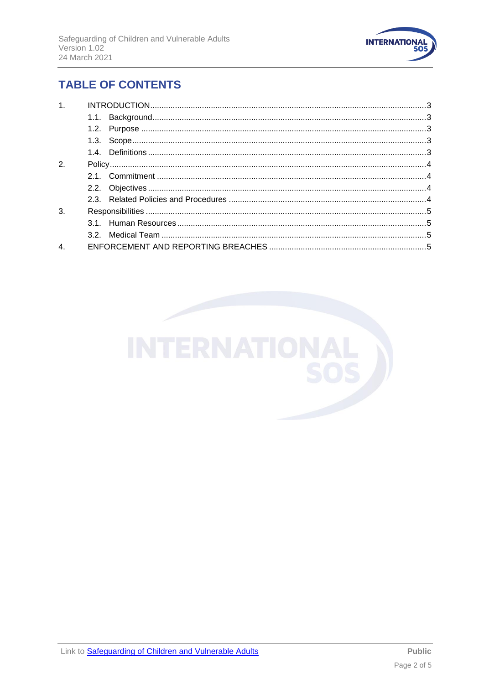

# **TABLE OF CONTENTS**

| 1.               |  |
|------------------|--|
|                  |  |
|                  |  |
|                  |  |
|                  |  |
| $\mathbf{2}$     |  |
|                  |  |
|                  |  |
|                  |  |
| 3.               |  |
|                  |  |
|                  |  |
| $\overline{4}$ . |  |

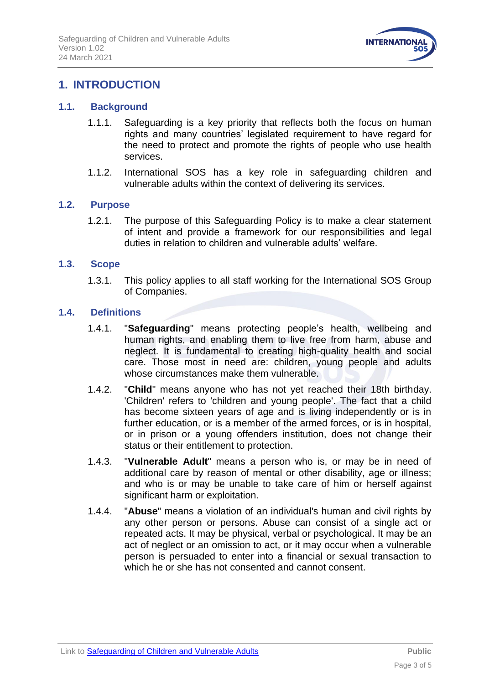

# <span id="page-2-0"></span>**1. INTRODUCTION**

## <span id="page-2-1"></span>**1.1. Background**

- 1.1.1. Safeguarding is a key priority that reflects both the focus on human rights and many countries' legislated requirement to have regard for the need to protect and promote the rights of people who use health services.
- 1.1.2. International SOS has a key role in safeguarding children and vulnerable adults within the context of delivering its services.

### <span id="page-2-2"></span>**1.2. Purpose**

1.2.1. The purpose of this Safeguarding Policy is to make a clear statement of intent and provide a framework for our responsibilities and legal duties in relation to children and vulnerable adults' welfare.

## <span id="page-2-3"></span>**1.3. Scope**

1.3.1. This policy applies to all staff working for the International SOS Group of Companies.

#### <span id="page-2-4"></span>**1.4. Definitions**

- 1.4.1. "**Safeguarding**" means protecting people's health, wellbeing and human rights, and enabling them to live free from harm, abuse and neglect. It is fundamental to creating high-quality health and social care. Those most in need are: children, young people and adults whose circumstances make them vulnerable.
- 1.4.2. "**Child**" means anyone who has not yet reached their 18th birthday. 'Children' refers to 'children and young people'. The fact that a child has become sixteen years of age and is living independently or is in further education, or is a member of the armed forces, or is in hospital, or in prison or a young offenders institution, does not change their status or their entitlement to protection.
- 1.4.3. "**Vulnerable Adult**" means a person who is, or may be in need of additional care by reason of mental or other disability, age or illness; and who is or may be unable to take care of him or herself against significant harm or exploitation.
- 1.4.4. "**Abuse**" means a violation of an individual's human and civil rights by any other person or persons. Abuse can consist of a single act or repeated acts. It may be physical, verbal or psychological. It may be an act of neglect or an omission to act, or it may occur when a vulnerable person is persuaded to enter into a financial or sexual transaction to which he or she has not consented and cannot consent.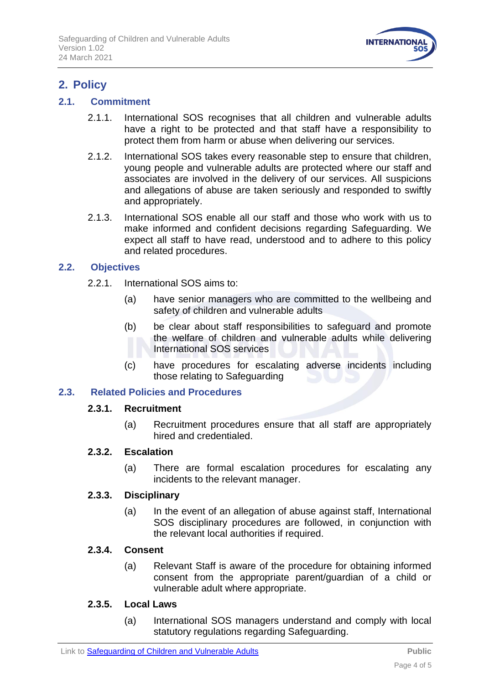

# <span id="page-3-0"></span>**2. Policy**

# <span id="page-3-1"></span>**2.1. Commitment**

- 2.1.1. International SOS recognises that all children and vulnerable adults have a right to be protected and that staff have a responsibility to protect them from harm or abuse when delivering our services.
- 2.1.2. International SOS takes every reasonable step to ensure that children, young people and vulnerable adults are protected where our staff and associates are involved in the delivery of our services. All suspicions and allegations of abuse are taken seriously and responded to swiftly and appropriately.
- 2.1.3. International SOS enable all our staff and those who work with us to make informed and confident decisions regarding Safeguarding. We expect all staff to have read, understood and to adhere to this policy and related procedures.

# <span id="page-3-2"></span>**2.2. Objectives**

- 2.2.1. International SOS aims to:
	- (a) have senior managers who are committed to the wellbeing and safety of children and vulnerable adults
	- (b) be clear about staff responsibilities to safeguard and promote the welfare of children and vulnerable adults while delivering International SOS services
	- (c) have procedures for escalating adverse incidents including those relating to Safeguarding

# <span id="page-3-3"></span>**2.3. Related Policies and Procedures**

### **2.3.1. Recruitment**

(a) Recruitment procedures ensure that all staff are appropriately hired and credentialed.

### **2.3.2. Escalation**

(a) There are formal escalation procedures for escalating any incidents to the relevant manager.

### **2.3.3. Disciplinary**

(a) In the event of an allegation of abuse against staff, International SOS disciplinary procedures are followed, in conjunction with the relevant local authorities if required.

# **2.3.4. Consent**

(a) Relevant Staff is aware of the procedure for obtaining informed consent from the appropriate parent/guardian of a child or vulnerable adult where appropriate.

### **2.3.5. Local Laws**

(a) International SOS managers understand and comply with local statutory regulations regarding Safeguarding.